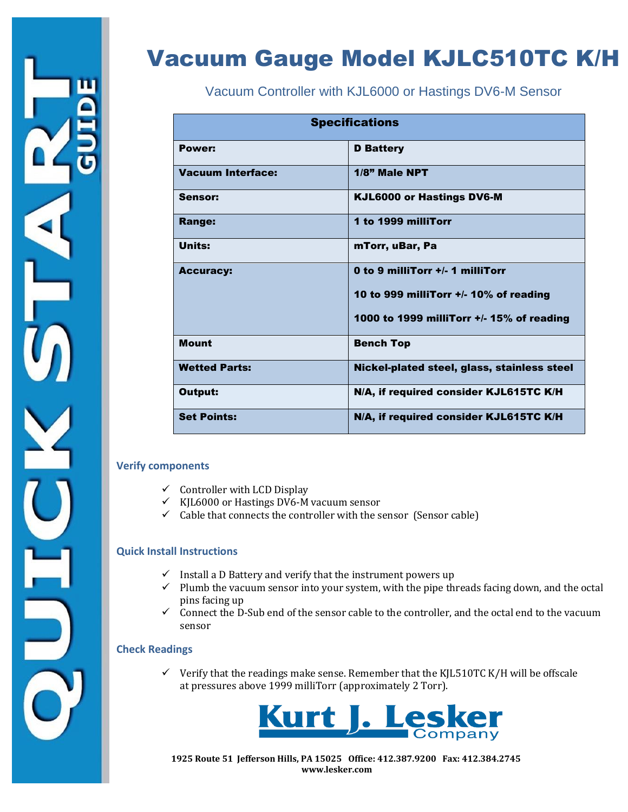# Vacuum Gauge Model KJLC510TC K/H

Vacuum Controller with KJL6000 or Hastings DV6-M Sensor

| <b>Specifications</b> |                                             |  |
|-----------------------|---------------------------------------------|--|
| Power:                | <b>D</b> Battery                            |  |
| Vacuum Interface:     | $1/8$ " Male NPT                            |  |
| Sensor:               | <b>KJL6000 or Hastings DV6-M</b>            |  |
| <b>Range:</b>         | 1 to 1999 milliTorr                         |  |
| Units:                | mTorr, uBar, Pa                             |  |
| <b>Accuracy:</b>      | 0 to 9 milliTorr +/- 1 milliTorr            |  |
|                       | 10 to 999 milliTorr +/- 10% of reading      |  |
|                       | 1000 to 1999 milliTorr +/- 15% of reading   |  |
| <b>Mount</b>          | <b>Bench Top</b>                            |  |
| <b>Wetted Parts:</b>  | Nickel-plated steel, glass, stainless steel |  |
| Output:               | N/A, if required consider KJL615TC K/H      |  |
| <b>Set Points:</b>    | N/A, if required consider KJL615TC K/H      |  |

#### **Verify components**

- $\checkmark$  Controller with LCD Display
- $\checkmark$  KJL6000 or Hastings DV6-M vacuum sensor
- $\checkmark$  Cable that connects the controller with the sensor (Sensor cable)

#### **Quick Install Instructions**

- $\checkmark$  Install a D Battery and verify that the instrument powers up
- $\checkmark$  Plumb the vacuum sensor into your system, with the pipe threads facing down, and the octal pins facing up
- $\checkmark$  Connect the D-Sub end of the sensor cable to the controller, and the octal end to the vacuum sensor

#### **Check Readings**

 $\checkmark$  Verify that the readings make sense. Remember that the KJL510TC K/H will be offscale at pressures above 1999 milliTorr (approximately 2 Torr).



 **1925 Route 51 Jefferson Hills, PA 15025 Office: 412.387.9200 Fax: 412.384.2745 www.lesker.com**